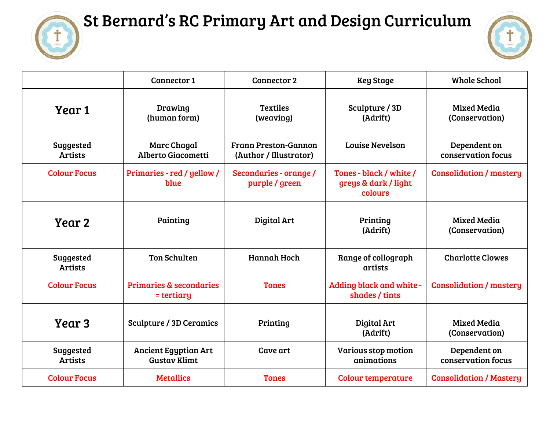

## St Bernard's RC Primary Art and Design Curriculum



|                             | Connector 1                                        | <b>Connector 2</b>                                    | <b>Key Stage</b>                                           | <b>Whole School</b>                  |
|-----------------------------|----------------------------------------------------|-------------------------------------------------------|------------------------------------------------------------|--------------------------------------|
| Year 1                      | Drawing<br>(human form)                            | <b>Textiles</b><br>(weaving)                          | Sculpture / 3D<br>(Adrift)                                 | <b>Mixed Media</b><br>(Conservation) |
| Suggested<br><b>Artists</b> | <b>Marc Chagal</b><br>Alberto Giacometti           | <b>Frann Preston-Gannon</b><br>(Author / Illustrator) | <b>Louise Nevelson</b>                                     | Dependent on<br>conservation focus   |
| <b>Colour Focus</b>         | Primaries - red / yellow /<br>blue                 | Secondaries - orange /<br>purple / green              | Tones - black / white /<br>greys & dark / light<br>colours | <b>Consolidation / mastery</b>       |
| Year 2                      | Painting                                           | Digital Art                                           | Printing<br>(Adrift)                                       | <b>Mixed Media</b><br>(Conservation) |
| Suggested<br><b>Artists</b> | <b>Ton Schulten</b>                                | <b>Hannah Hoch</b>                                    | Range of collograph<br>artists                             | <b>Charlotte Clowes</b>              |
| <b>Colour Focus</b>         | <b>Primaries &amp; secondaries</b><br>= tertiary   | <b>Tones</b>                                          | Adding black and white -<br>shades / tints                 | <b>Consolidation / mastery</b>       |
| Year 3                      | <b>Sculpture / 3D Ceramics</b>                     | Printing                                              | Digital Art<br>(Adrift)                                    | <b>Mixed Media</b><br>(Conservation) |
| Suggested<br><b>Artists</b> | <b>Ancient Egyptian Art</b><br><b>Gustav Klimt</b> | Cave art                                              | Various stop motion<br>animations                          | Dependent on<br>conservation focus   |
| <b>Colour Focus</b>         | <b>Metallics</b>                                   | <b>Tones</b>                                          | <b>Colour temperature</b>                                  | <b>Consolidation / Mastery</b>       |